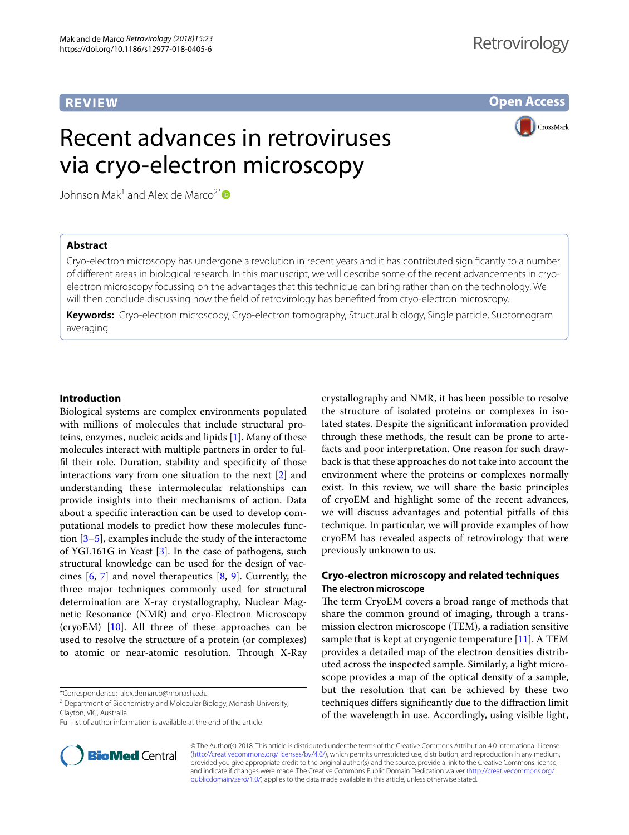# **REVIEW**

# **Retrovirology**

**Open Access**

# Recent advances in retroviruses via cryo-electron microscopy

**CrossMark** 

Johnson Mak<sup>1</sup> and Alex de Marco<sup>2[\\*](http://orcid.org/0000-0001-6238-5653)</sup>

### **Abstract**

Cryo-electron microscopy has undergone a revolution in recent years and it has contributed signifcantly to a number of diferent areas in biological research. In this manuscript, we will describe some of the recent advancements in cryoelectron microscopy focussing on the advantages that this technique can bring rather than on the technology. We will then conclude discussing how the feld of retrovirology has benefted from cryo-electron microscopy.

**Keywords:** Cryo-electron microscopy, Cryo-electron tomography, Structural biology, Single particle, Subtomogram averaging

#### **Introduction**

Biological systems are complex environments populated with millions of molecules that include structural proteins, enzymes, nucleic acids and lipids [[1](#page-7-0)]. Many of these molecules interact with multiple partners in order to fulfl their role. Duration, stability and specifcity of those interactions vary from one situation to the next [[2\]](#page-7-1) and understanding these intermolecular relationships can provide insights into their mechanisms of action. Data about a specifc interaction can be used to develop computational models to predict how these molecules function  $[3-5]$  $[3-5]$  $[3-5]$ , examples include the study of the interactome of YGL161G in Yeast [[3\]](#page-7-2). In the case of pathogens, such structural knowledge can be used for the design of vaccines [\[6](#page-7-4), [7\]](#page-7-5) and novel therapeutics [\[8](#page-7-6), [9\]](#page-7-7). Currently, the three major techniques commonly used for structural determination are X-ray crystallography, Nuclear Magnetic Resonance (NMR) and cryo-Electron Microscopy (cryoEM) [\[10](#page-7-8)]. All three of these approaches can be used to resolve the structure of a protein (or complexes) to atomic or near-atomic resolution. Through X-Ray

\*Correspondence: alex.demarco@monash.edu



#### **Cryo‑electron microscopy and related techniques The electron microscope**

The term CryoEM covers a broad range of methods that share the common ground of imaging, through a transmission electron microscope (TEM), a radiation sensitive sample that is kept at cryogenic temperature [\[11](#page-7-9)]. A TEM provides a detailed map of the electron densities distributed across the inspected sample. Similarly, a light microscope provides a map of the optical density of a sample, but the resolution that can be achieved by these two techniques difers signifcantly due to the difraction limit of the wavelength in use. Accordingly, using visible light,



<sup>&</sup>lt;sup>2</sup> Department of Biochemistry and Molecular Biology, Monash University, Clayton, VIC, Australia

Full list of author information is available at the end of the article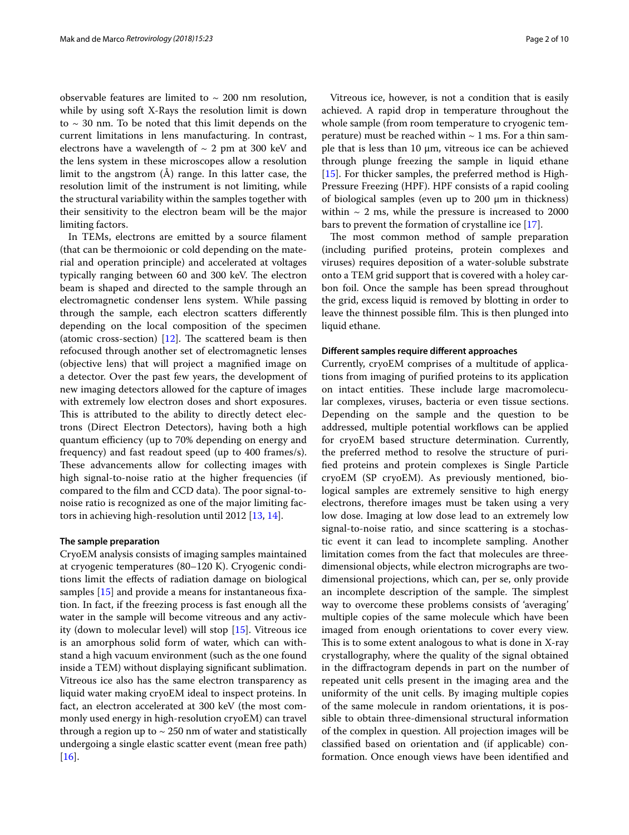observable features are limited to  $\sim$  200 nm resolution, while by using soft X-Rays the resolution limit is down to  $\sim$  30 nm. To be noted that this limit depends on the current limitations in lens manufacturing. In contrast, electrons have a wavelength of  $\sim$  2 pm at 300 keV and the lens system in these microscopes allow a resolution limit to the angstrom (Å) range. In this latter case, the resolution limit of the instrument is not limiting, while the structural variability within the samples together with their sensitivity to the electron beam will be the major limiting factors.

In TEMs, electrons are emitted by a source flament (that can be thermoionic or cold depending on the material and operation principle) and accelerated at voltages typically ranging between 60 and 300 keV. The electron beam is shaped and directed to the sample through an electromagnetic condenser lens system. While passing through the sample, each electron scatters diferently depending on the local composition of the specimen (atomic cross-section)  $[12]$  $[12]$ . The scattered beam is then refocused through another set of electromagnetic lenses (objective lens) that will project a magnifed image on a detector. Over the past few years, the development of new imaging detectors allowed for the capture of images with extremely low electron doses and short exposures. This is attributed to the ability to directly detect electrons (Direct Electron Detectors), having both a high quantum efficiency (up to 70% depending on energy and frequency) and fast readout speed (up to 400 frames/s). These advancements allow for collecting images with high signal-to-noise ratio at the higher frequencies (if compared to the film and CCD data). The poor signal-tonoise ratio is recognized as one of the major limiting factors in achieving high-resolution until 2012 [[13,](#page-7-11) [14](#page-7-12)].

#### **The sample preparation**

CryoEM analysis consists of imaging samples maintained at cryogenic temperatures (80–120 K). Cryogenic conditions limit the efects of radiation damage on biological samples [\[15\]](#page-7-13) and provide a means for instantaneous fxation. In fact, if the freezing process is fast enough all the water in the sample will become vitreous and any activity (down to molecular level) will stop [[15](#page-7-13)]. Vitreous ice is an amorphous solid form of water, which can withstand a high vacuum environment (such as the one found inside a TEM) without displaying signifcant sublimation. Vitreous ice also has the same electron transparency as liquid water making cryoEM ideal to inspect proteins. In fact, an electron accelerated at 300 keV (the most commonly used energy in high-resolution cryoEM) can travel through a region up to  $\sim$  250 nm of water and statistically undergoing a single elastic scatter event (mean free path) [[16\]](#page-7-14).

Vitreous ice, however, is not a condition that is easily achieved. A rapid drop in temperature throughout the whole sample (from room temperature to cryogenic temperature) must be reached within  $\sim$  1 ms. For a thin sample that is less than 10 µm, vitreous ice can be achieved through plunge freezing the sample in liquid ethane [[15\]](#page-7-13). For thicker samples, the preferred method is High-Pressure Freezing (HPF). HPF consists of a rapid cooling of biological samples (even up to  $200 \mu m$  in thickness) within  $\sim$  2 ms, while the pressure is increased to 2000 bars to prevent the formation of crystalline ice [[17\]](#page-7-15).

The most common method of sample preparation (including purifed proteins, protein complexes and viruses) requires deposition of a water-soluble substrate onto a TEM grid support that is covered with a holey carbon foil. Once the sample has been spread throughout the grid, excess liquid is removed by blotting in order to leave the thinnest possible film. This is then plunged into liquid ethane.

#### **Diferent samples require diferent approaches**

Currently, cryoEM comprises of a multitude of applications from imaging of purifed proteins to its application on intact entities. These include large macromolecular complexes, viruses, bacteria or even tissue sections. Depending on the sample and the question to be addressed, multiple potential workflows can be applied for cryoEM based structure determination. Currently, the preferred method to resolve the structure of purifed proteins and protein complexes is Single Particle cryoEM (SP cryoEM). As previously mentioned, biological samples are extremely sensitive to high energy electrons, therefore images must be taken using a very low dose. Imaging at low dose lead to an extremely low signal-to-noise ratio, and since scattering is a stochastic event it can lead to incomplete sampling. Another limitation comes from the fact that molecules are threedimensional objects, while electron micrographs are twodimensional projections, which can, per se, only provide an incomplete description of the sample. The simplest way to overcome these problems consists of 'averaging' multiple copies of the same molecule which have been imaged from enough orientations to cover every view. This is to some extent analogous to what is done in X-ray crystallography, where the quality of the signal obtained in the difractogram depends in part on the number of repeated unit cells present in the imaging area and the uniformity of the unit cells. By imaging multiple copies of the same molecule in random orientations, it is possible to obtain three-dimensional structural information of the complex in question. All projection images will be classifed based on orientation and (if applicable) conformation. Once enough views have been identifed and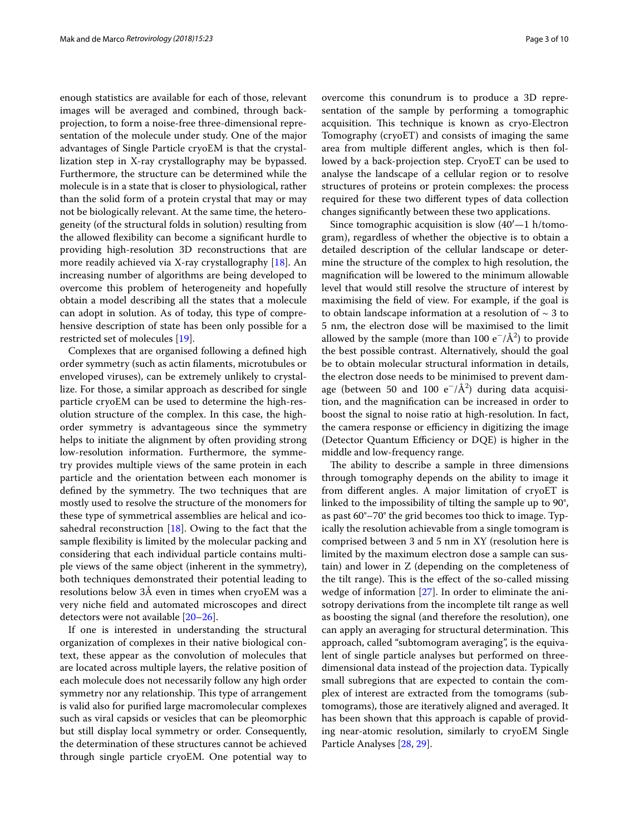enough statistics are available for each of those, relevant images will be averaged and combined, through backprojection, to form a noise-free three-dimensional representation of the molecule under study. One of the major advantages of Single Particle cryoEM is that the crystallization step in X-ray crystallography may be bypassed. Furthermore, the structure can be determined while the molecule is in a state that is closer to physiological, rather than the solid form of a protein crystal that may or may not be biologically relevant. At the same time, the heterogeneity (of the structural folds in solution) resulting from the allowed fexibility can become a signifcant hurdle to providing high-resolution 3D reconstructions that are more readily achieved via X-ray crystallography [[18\]](#page-7-16). An increasing number of algorithms are being developed to overcome this problem of heterogeneity and hopefully obtain a model describing all the states that a molecule can adopt in solution. As of today, this type of comprehensive description of state has been only possible for a restricted set of molecules [\[19](#page-7-17)].

Complexes that are organised following a defned high order symmetry (such as actin flaments, microtubules or enveloped viruses), can be extremely unlikely to crystallize. For those, a similar approach as described for single particle cryoEM can be used to determine the high-resolution structure of the complex. In this case, the highorder symmetry is advantageous since the symmetry helps to initiate the alignment by often providing strong low-resolution information. Furthermore, the symmetry provides multiple views of the same protein in each particle and the orientation between each monomer is defined by the symmetry. The two techniques that are mostly used to resolve the structure of the monomers for these type of symmetrical assemblies are helical and icosahedral reconstruction [\[18](#page-7-16)]. Owing to the fact that the sample fexibility is limited by the molecular packing and considering that each individual particle contains multiple views of the same object (inherent in the symmetry), both techniques demonstrated their potential leading to resolutions below 3Å even in times when cryoEM was a very niche feld and automated microscopes and direct detectors were not available [[20–](#page-7-18)[26](#page-7-19)].

If one is interested in understanding the structural organization of complexes in their native biological context, these appear as the convolution of molecules that are located across multiple layers, the relative position of each molecule does not necessarily follow any high order symmetry nor any relationship. This type of arrangement is valid also for purifed large macromolecular complexes such as viral capsids or vesicles that can be pleomorphic but still display local symmetry or order. Consequently, the determination of these structures cannot be achieved through single particle cryoEM. One potential way to overcome this conundrum is to produce a 3D representation of the sample by performing a tomographic acquisition. This technique is known as cryo-Electron Tomography (cryoET) and consists of imaging the same area from multiple diferent angles, which is then followed by a back-projection step. CryoET can be used to analyse the landscape of a cellular region or to resolve structures of proteins or protein complexes: the process required for these two diferent types of data collection changes signifcantly between these two applications.

Since tomographic acquisition is slow  $(40'-1)$  h/tomogram), regardless of whether the objective is to obtain a detailed description of the cellular landscape or determine the structure of the complex to high resolution, the magnifcation will be lowered to the minimum allowable level that would still resolve the structure of interest by maximising the feld of view. For example, if the goal is to obtain landscape information at a resolution of  $\sim$  3 to 5 nm, the electron dose will be maximised to the limit allowed by the sample (more than 100 e<sup>-</sup>/Å<sup>2</sup>) to provide the best possible contrast. Alternatively, should the goal be to obtain molecular structural information in details, the electron dose needs to be minimised to prevent damage (between 50 and 100  $e^{-}/\text{\AA}^2$ ) during data acquisition, and the magnifcation can be increased in order to boost the signal to noise ratio at high-resolution. In fact, the camera response or efficiency in digitizing the image (Detector Quantum Efficiency or DQE) is higher in the middle and low-frequency range.

The ability to describe a sample in three dimensions through tomography depends on the ability to image it from diferent angles. A major limitation of cryoET is linked to the impossibility of tilting the sample up to 90°, as past 60°–70° the grid becomes too thick to image. Typically the resolution achievable from a single tomogram is comprised between 3 and 5 nm in XY (resolution here is limited by the maximum electron dose a sample can sustain) and lower in Z (depending on the completeness of the tilt range). This is the effect of the so-called missing wedge of information [[27](#page-7-20)]. In order to eliminate the anisotropy derivations from the incomplete tilt range as well as boosting the signal (and therefore the resolution), one can apply an averaging for structural determination. This approach, called "subtomogram averaging", is the equivalent of single particle analyses but performed on threedimensional data instead of the projection data. Typically small subregions that are expected to contain the complex of interest are extracted from the tomograms (subtomograms), those are iteratively aligned and averaged. It has been shown that this approach is capable of providing near-atomic resolution, similarly to cryoEM Single Particle Analyses [[28,](#page-7-21) [29](#page-7-22)].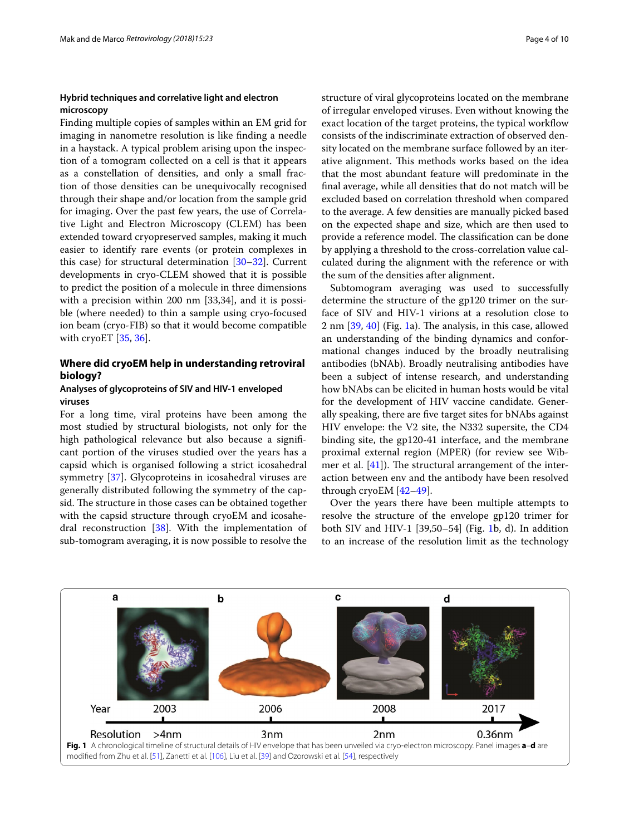#### **Hybrid techniques and correlative light and electron microscopy**

Finding multiple copies of samples within an EM grid for imaging in nanometre resolution is like fnding a needle in a haystack. A typical problem arising upon the inspection of a tomogram collected on a cell is that it appears as a constellation of densities, and only a small fraction of those densities can be unequivocally recognised through their shape and/or location from the sample grid for imaging. Over the past few years, the use of Correlative Light and Electron Microscopy (CLEM) has been extended toward cryopreserved samples, making it much easier to identify rare events (or protein complexes in this case) for structural determination [\[30](#page-7-23)[–32](#page-7-24)]. Current developments in cryo-CLEM showed that it is possible to predict the position of a molecule in three dimensions with a precision within 200 nm [33,34], and it is possible (where needed) to thin a sample using cryo-focused ion beam (cryo-FIB) so that it would become compatible with cryoET [[35,](#page-7-25) [36](#page-7-26)].

### **Where did cryoEM help in understanding retroviral biology?**

#### **Analyses of glycoproteins of SIV and HIV‑1 enveloped viruses**

For a long time, viral proteins have been among the most studied by structural biologists, not only for the high pathological relevance but also because a signifcant portion of the viruses studied over the years has a capsid which is organised following a strict icosahedral symmetry [[37](#page-7-27)]. Glycoproteins in icosahedral viruses are generally distributed following the symmetry of the capsid. The structure in those cases can be obtained together with the capsid structure through cryoEM and icosahedral reconstruction [[38\]](#page-7-28). With the implementation of sub-tomogram averaging, it is now possible to resolve the structure of viral glycoproteins located on the membrane of irregular enveloped viruses. Even without knowing the exact location of the target proteins, the typical workflow consists of the indiscriminate extraction of observed density located on the membrane surface followed by an iterative alignment. This methods works based on the idea that the most abundant feature will predominate in the fnal average, while all densities that do not match will be excluded based on correlation threshold when compared to the average. A few densities are manually picked based on the expected shape and size, which are then used to provide a reference model. The classification can be done by applying a threshold to the cross-correlation value calculated during the alignment with the reference or with the sum of the densities after alignment.

Subtomogram averaging was used to successfully determine the structure of the gp120 trimer on the surface of SIV and HIV-1 virions at a resolution close to 2 nm  $[39, 40]$  $[39, 40]$  $[39, 40]$  (Fig. [1](#page-3-0)a). The analysis, in this case, allowed an understanding of the binding dynamics and conformational changes induced by the broadly neutralising antibodies (bNAb). Broadly neutralising antibodies have been a subject of intense research, and understanding how bNAbs can be elicited in human hosts would be vital for the development of HIV vaccine candidate. Generally speaking, there are fve target sites for bNAbs against HIV envelope: the V2 site, the N332 supersite, the CD4 binding site, the gp120-41 interface, and the membrane proximal external region (MPER) (for review see Wibmer et al.  $[41]$  $[41]$ ). The structural arrangement of the interaction between env and the antibody have been resolved through cryoEM [[42](#page-7-32)[–49](#page-8-0)].

Over the years there have been multiple attempts to resolve the structure of the envelope gp120 trimer for both SIV and HIV-1 [39,50–54] (Fig. [1](#page-3-0)b, d). In addition to an increase of the resolution limit as the technology

<span id="page-3-0"></span>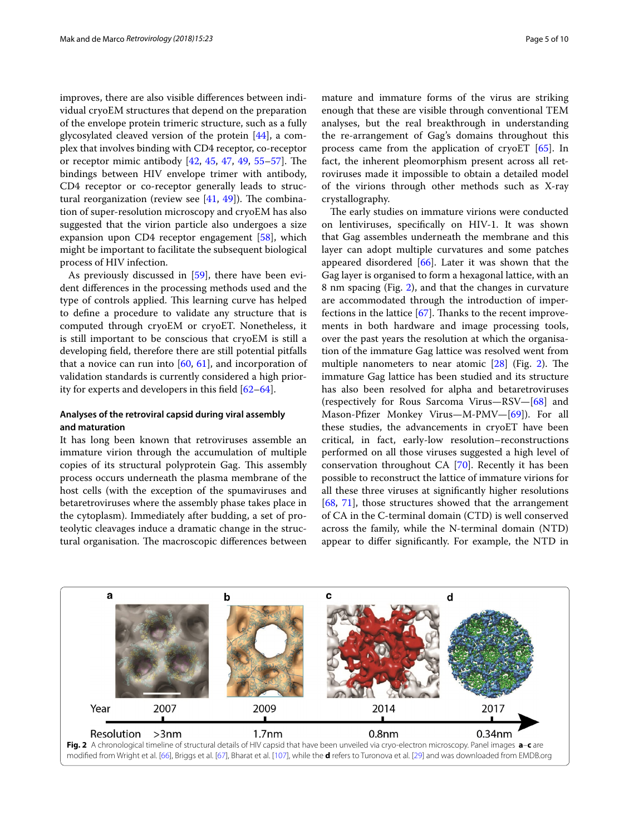improves, there are also visible diferences between individual cryoEM structures that depend on the preparation of the envelope protein trimeric structure, such as a fully glycosylated cleaved version of the protein [\[44](#page-8-3)], a complex that involves binding with CD4 receptor, co-receptor or receptor mimic antibody  $[42, 45, 47, 49, 55-57]$  $[42, 45, 47, 49, 55-57]$  $[42, 45, 47, 49, 55-57]$  $[42, 45, 47, 49, 55-57]$  $[42, 45, 47, 49, 55-57]$  $[42, 45, 47, 49, 55-57]$  $[42, 45, 47, 49, 55-57]$  $[42, 45, 47, 49, 55-57]$  $[42, 45, 47, 49, 55-57]$  $[42, 45, 47, 49, 55-57]$  $[42, 45, 47, 49, 55-57]$ . The bindings between HIV envelope trimer with antibody, CD4 receptor or co-receptor generally leads to structural reorganization (review see  $[41, 49]$  $[41, 49]$  $[41, 49]$  $[41, 49]$ ). The combination of super-resolution microscopy and cryoEM has also suggested that the virion particle also undergoes a size expansion upon CD4 receptor engagement [\[58](#page-8-8)], which might be important to facilitate the subsequent biological process of HIV infection.

As previously discussed in [\[59](#page-8-9)], there have been evident diferences in the processing methods used and the type of controls applied. This learning curve has helped to defne a procedure to validate any structure that is computed through cryoEM or cryoET. Nonetheless, it is still important to be conscious that cryoEM is still a developing feld, therefore there are still potential pitfalls that a novice can run into  $[60, 61]$  $[60, 61]$  $[60, 61]$  $[60, 61]$ , and incorporation of validation standards is currently considered a high priority for experts and developers in this feld [\[62](#page-8-12)[–64\]](#page-8-13).

#### **Analyses of the retroviral capsid during viral assembly and maturation**

It has long been known that retroviruses assemble an immature virion through the accumulation of multiple copies of its structural polyprotein Gag. This assembly process occurs underneath the plasma membrane of the host cells (with the exception of the spumaviruses and betaretroviruses where the assembly phase takes place in the cytoplasm). Immediately after budding, a set of proteolytic cleavages induce a dramatic change in the structural organisation. The macroscopic differences between mature and immature forms of the virus are striking enough that these are visible through conventional TEM analyses, but the real breakthrough in understanding the re-arrangement of Gag's domains throughout this process came from the application of cryoET [[65\]](#page-8-14). In fact, the inherent pleomorphism present across all retroviruses made it impossible to obtain a detailed model of the virions through other methods such as X-ray crystallography.

The early studies on immature virions were conducted on lentiviruses, specifcally on HIV-1. It was shown that Gag assembles underneath the membrane and this layer can adopt multiple curvatures and some patches appeared disordered  $[66]$  $[66]$ . Later it was shown that the Gag layer is organised to form a hexagonal lattice, with an 8 nm spacing (Fig. [2\)](#page-4-0), and that the changes in curvature are accommodated through the introduction of imperfections in the lattice  $[67]$  $[67]$ . Thanks to the recent improvements in both hardware and image processing tools, over the past years the resolution at which the organisation of the immature Gag lattice was resolved went from multiple nanometers to near atomic  $[28]$  (Fig. [2](#page-4-0)). The immature Gag lattice has been studied and its structure has also been resolved for alpha and betaretroviruses (respectively for Rous Sarcoma Virus—RSV—[\[68](#page-8-17)] and Mason-Pfzer Monkey Virus—M-PMV—[[69\]](#page-8-18)). For all these studies, the advancements in cryoET have been critical, in fact, early-low resolution–reconstructions performed on all those viruses suggested a high level of conservation throughout CA [\[70\]](#page-8-19). Recently it has been possible to reconstruct the lattice of immature virions for all these three viruses at signifcantly higher resolutions [[68,](#page-8-17) [71\]](#page-8-20), those structures showed that the arrangement of CA in the C-terminal domain (CTD) is well conserved across the family, while the N-terminal domain (NTD) appear to difer signifcantly. For example, the NTD in

<span id="page-4-0"></span>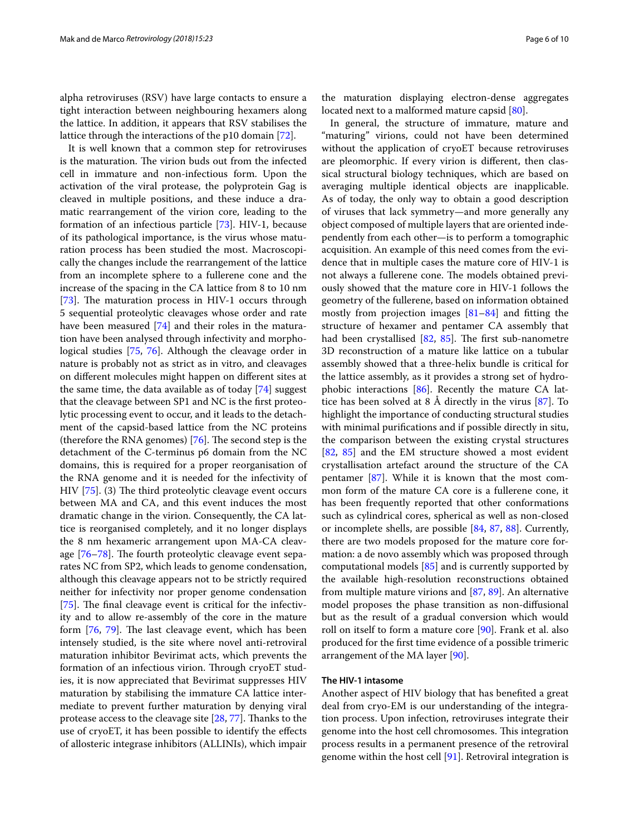alpha retroviruses (RSV) have large contacts to ensure a tight interaction between neighbouring hexamers along the lattice. In addition, it appears that RSV stabilises the lattice through the interactions of the p10 domain [\[72](#page-8-21)].

It is well known that a common step for retroviruses is the maturation. The virion buds out from the infected cell in immature and non-infectious form. Upon the activation of the viral protease, the polyprotein Gag is cleaved in multiple positions, and these induce a dramatic rearrangement of the virion core, leading to the formation of an infectious particle [[73](#page-8-22)]. HIV-1, because of its pathological importance, is the virus whose maturation process has been studied the most. Macroscopically the changes include the rearrangement of the lattice from an incomplete sphere to a fullerene cone and the increase of the spacing in the CA lattice from 8 to 10 nm [[73\]](#page-8-22). The maturation process in HIV-1 occurs through 5 sequential proteolytic cleavages whose order and rate have been measured [[74\]](#page-8-23) and their roles in the maturation have been analysed through infectivity and morphological studies [\[75,](#page-8-24) [76\]](#page-8-25). Although the cleavage order in nature is probably not as strict as in vitro, and cleavages on diferent molecules might happen on diferent sites at the same time, the data available as of today [[74](#page-8-23)] suggest that the cleavage between SP1 and NC is the frst proteolytic processing event to occur, and it leads to the detachment of the capsid-based lattice from the NC proteins (therefore the RNA genomes)  $[76]$ . The second step is the detachment of the C-terminus p6 domain from the NC domains, this is required for a proper reorganisation of the RNA genome and it is needed for the infectivity of HIV  $[75]$  $[75]$  $[75]$ . (3) The third proteolytic cleavage event occurs between MA and CA, and this event induces the most dramatic change in the virion. Consequently, the CA lattice is reorganised completely, and it no longer displays the 8 nm hexameric arrangement upon MA-CA cleavage  $[76-78]$  $[76-78]$  $[76-78]$ . The fourth proteolytic cleavage event separates NC from SP2, which leads to genome condensation, although this cleavage appears not to be strictly required neither for infectivity nor proper genome condensation [[75\]](#page-8-24). The final cleavage event is critical for the infectivity and to allow re-assembly of the core in the mature form  $[76, 79]$  $[76, 79]$  $[76, 79]$  $[76, 79]$ . The last cleavage event, which has been intensely studied, is the site where novel anti-retroviral maturation inhibitor Bevirimat acts, which prevents the formation of an infectious virion. Through cryoET studies, it is now appreciated that Bevirimat suppresses HIV maturation by stabilising the immature CA lattice intermediate to prevent further maturation by denying viral protease access to the cleavage site [\[28,](#page-7-21) [77](#page-8-28)]. Thanks to the use of cryoET, it has been possible to identify the efects of allosteric integrase inhibitors (ALLINIs), which impair

the maturation displaying electron-dense aggregates located next to a malformed mature capsid [[80\]](#page-8-29).

In general, the structure of immature, mature and "maturing" virions, could not have been determined without the application of cryoET because retroviruses are pleomorphic. If every virion is diferent, then classical structural biology techniques, which are based on averaging multiple identical objects are inapplicable. As of today, the only way to obtain a good description of viruses that lack symmetry—and more generally any object composed of multiple layers that are oriented independently from each other—is to perform a tomographic acquisition. An example of this need comes from the evidence that in multiple cases the mature core of HIV-1 is not always a fullerene cone. The models obtained previously showed that the mature core in HIV-1 follows the geometry of the fullerene, based on information obtained mostly from projection images [[81](#page-8-30)[–84](#page-8-31)] and ftting the structure of hexamer and pentamer CA assembly that had been crystallised [\[82,](#page-8-32) [85\]](#page-8-33). The first sub-nanometre 3D reconstruction of a mature like lattice on a tubular assembly showed that a three-helix bundle is critical for the lattice assembly, as it provides a strong set of hydrophobic interactions [\[86](#page-8-34)]. Recently the mature CA lattice has been solved at 8 Å directly in the virus [\[87](#page-8-35)]. To highlight the importance of conducting structural studies with minimal purifcations and if possible directly in situ, the comparison between the existing crystal structures [[82,](#page-8-32) [85](#page-8-33)] and the EM structure showed a most evident crystallisation artefact around the structure of the CA pentamer [[87\]](#page-8-35). While it is known that the most common form of the mature CA core is a fullerene cone, it has been frequently reported that other conformations such as cylindrical cores, spherical as well as non-closed or incomplete shells, are possible [[84](#page-8-31), [87,](#page-8-35) [88\]](#page-8-36). Currently, there are two models proposed for the mature core formation: a de novo assembly which was proposed through computational models [\[85\]](#page-8-33) and is currently supported by the available high-resolution reconstructions obtained from multiple mature virions and [[87,](#page-8-35) [89](#page-8-37)]. An alternative model proposes the phase transition as non-difusional but as the result of a gradual conversion which would roll on itself to form a mature core [\[90\]](#page-9-2). Frank et al. also produced for the frst time evidence of a possible trimeric arrangement of the MA layer [[90\]](#page-9-2).

#### **The HIV‑1 intasome**

Another aspect of HIV biology that has benefted a great deal from cryo-EM is our understanding of the integration process. Upon infection, retroviruses integrate their genome into the host cell chromosomes. This integration process results in a permanent presence of the retroviral genome within the host cell [[91](#page-9-3)]. Retroviral integration is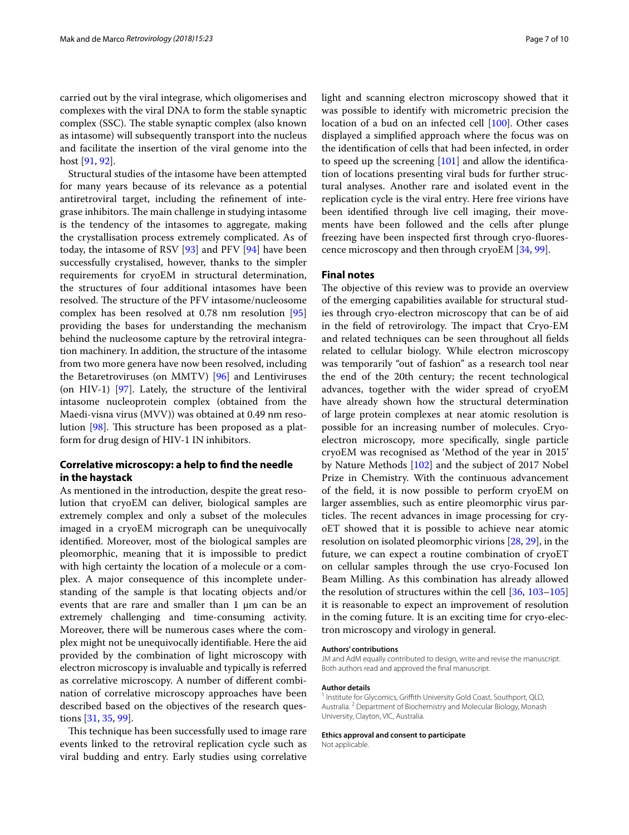carried out by the viral integrase, which oligomerises and complexes with the viral DNA to form the stable synaptic complex (SSC). The stable synaptic complex (also known as intasome) will subsequently transport into the nucleus and facilitate the insertion of the viral genome into the host [[91,](#page-9-3) [92](#page-9-4)].

Structural studies of the intasome have been attempted for many years because of its relevance as a potential antiretroviral target, including the refnement of integrase inhibitors. The main challenge in studying intasome is the tendency of the intasomes to aggregate, making the crystallisation process extremely complicated. As of today, the intasome of RSV  $[93]$  $[93]$  and PFV  $[94]$  $[94]$  have been successfully crystalised, however, thanks to the simpler requirements for cryoEM in structural determination, the structures of four additional intasomes have been resolved. The structure of the PFV intasome/nucleosome complex has been resolved at 0.78 nm resolution [[95](#page-9-7)] providing the bases for understanding the mechanism behind the nucleosome capture by the retroviral integration machinery. In addition, the structure of the intasome from two more genera have now been resolved, including the Betaretroviruses (on MMTV) [[96\]](#page-9-8) and Lentiviruses (on HIV-1) [\[97](#page-9-9)]. Lately, the structure of the lentiviral intasome nucleoprotein complex (obtained from the Maedi-visna virus (MVV)) was obtained at 0.49 nm reso-lution [[98\]](#page-9-10). This structure has been proposed as a platform for drug design of HIV-1 IN inhibitors.

#### **Correlative microscopy: a help to fnd the needle in the haystack**

As mentioned in the introduction, despite the great resolution that cryoEM can deliver, biological samples are extremely complex and only a subset of the molecules imaged in a cryoEM micrograph can be unequivocally identifed. Moreover, most of the biological samples are pleomorphic, meaning that it is impossible to predict with high certainty the location of a molecule or a complex. A major consequence of this incomplete understanding of the sample is that locating objects and/or events that are rare and smaller than  $1 \mu m$  can be an extremely challenging and time-consuming activity. Moreover, there will be numerous cases where the complex might not be unequivocally identifable. Here the aid provided by the combination of light microscopy with electron microscopy is invaluable and typically is referred as correlative microscopy. A number of diferent combination of correlative microscopy approaches have been described based on the objectives of the research questions [\[31](#page-7-33), [35,](#page-7-25) [99](#page-9-11)].

This technique has been successfully used to image rare events linked to the retroviral replication cycle such as viral budding and entry. Early studies using correlative light and scanning electron microscopy showed that it was possible to identify with micrometric precision the location of a bud on an infected cell [\[100](#page-9-12)]. Other cases displayed a simplifed approach where the focus was on the identifcation of cells that had been infected, in order to speed up the screening [\[101](#page-9-13)] and allow the identifcation of locations presenting viral buds for further structural analyses. Another rare and isolated event in the replication cycle is the viral entry. Here free virions have been identifed through live cell imaging, their movements have been followed and the cells after plunge freezing have been inspected frst through cryo-fuorescence microscopy and then through cryoEM [[34,](#page-7-34) [99](#page-9-11)].

#### **Final notes**

The objective of this review was to provide an overview of the emerging capabilities available for structural studies through cryo-electron microscopy that can be of aid in the field of retrovirology. The impact that Cryo-EM and related techniques can be seen throughout all felds related to cellular biology. While electron microscopy was temporarily "out of fashion" as a research tool near the end of the 20th century; the recent technological advances, together with the wider spread of cryoEM have already shown how the structural determination of large protein complexes at near atomic resolution is possible for an increasing number of molecules. Cryoelectron microscopy, more specifcally, single particle cryoEM was recognised as 'Method of the year in 2015' by Nature Methods [[102\]](#page-9-14) and the subject of 2017 Nobel Prize in Chemistry. With the continuous advancement of the feld, it is now possible to perform cryoEM on larger assemblies, such as entire pleomorphic virus particles. The recent advances in image processing for cryoET showed that it is possible to achieve near atomic resolution on isolated pleomorphic virions [[28](#page-7-21), [29\]](#page-7-22), in the future, we can expect a routine combination of cryoET on cellular samples through the use cryo-Focused Ion Beam Milling. As this combination has already allowed the resolution of structures within the cell [\[36,](#page-7-26) [103–](#page-9-15)[105](#page-9-16)] it is reasonable to expect an improvement of resolution in the coming future. It is an exciting time for cryo-electron microscopy and virology in general.

#### **Authors' contributions**

JM and AdM equally contributed to design, write and revise the manuscript. Both authors read and approved the fnal manuscript.

#### **Author details**

<sup>1</sup> Institute for Glycomics, Griffith University Gold Coast, Southport, QLD, Australia. <sup>2</sup> Department of Biochemistry and Molecular Biology, Monash University, Clayton, VIC, Australia.

**Ethics approval and consent to participate** Not applicable.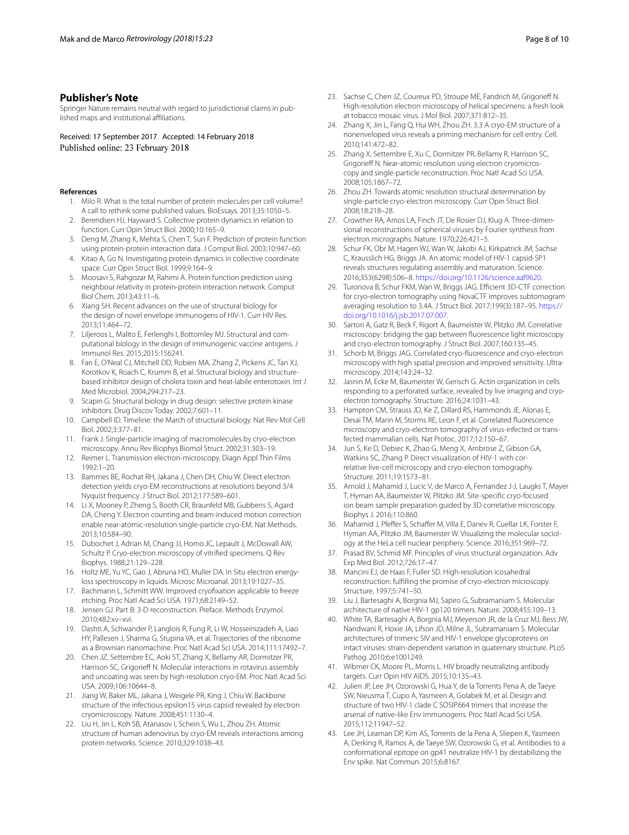#### **Publisher's Note**

Springer Nature remains neutral with regard to jurisdictional claims in published maps and institutional afliations.

Received: 17 September 2017 Accepted: 14 February 2018 Published online: 23 February 2018

#### <span id="page-7-0"></span>**References**

- 1. Milo R. What is the total number of protein molecules per cell volume? A call to rethink some published values. BioEssays. 2013;35:1050–5.
- <span id="page-7-1"></span>2. Berendsen HJ, Hayward S. Collective protein dynamics in relation to function. Curr Opin Struct Biol. 2000;10:165–9.
- <span id="page-7-2"></span>3. Deng M, Zhang K, Mehta S, Chen T, Sun F. Prediction of protein function using protein-protein interaction data. J Comput Biol. 2003;10:947–60.
- 4. Kitao A, Go N. Investigating protein dynamics in collective coordinate space. Curr Opin Struct Biol. 1999;9:164–9.
- <span id="page-7-3"></span>5. Moosavi S, Rahgozar M, Rahimi A. Protein function prediction using neighbour relativity in protein-protein interaction network. Comput Biol Chem. 2013;43:11–6.
- <span id="page-7-4"></span>6. Xiang SH. Recent advances on the use of structural biology for the design of novel envelope immunogens of HIV-1. Curr HIV Res. 2013;11:464–72.
- <span id="page-7-5"></span>7. Liljeroos L, Malito E, Ferlenghi I, Bottomley MJ. Structural and computational biology in the design of immunogenic vaccine antigens. J Immunol Res. 2015;2015:156241.
- <span id="page-7-6"></span>8. Fan E, O'Neal CJ, Mitchell DD, Robien MA, Zhang Z, Pickens JC, Tan XJ, Korotkov K, Roach C, Krumm B, et al. Structural biology and structurebased inhibitor design of cholera toxin and heat-labile enterotoxin. Int J Med Microbiol. 2004;294:217–23.
- <span id="page-7-7"></span>9. Scapin G. Structural biology in drug design: selective protein kinase inhibitors. Drug Discov Today. 2002;7:601–11.
- <span id="page-7-8"></span>10. Campbell ID. Timeline: the March of structural biology. Nat Rev Mol Cell Biol. 2002;3:377–81.
- <span id="page-7-9"></span>11. Frank J. Single-particle imaging of macromolecules by cryo-electron microscopy. Annu Rev Biophys Biomol Struct. 2002;31:303–19.
- <span id="page-7-10"></span>12. Reimer L. Transmission electron-microscopy. Diagn Appl Thin Films 1992:1–20.
- <span id="page-7-11"></span>13. Bammes BE, Rochat RH, Jakana J, Chen DH, Chiu W. Direct electron detection yields cryo-EM reconstructions at resolutions beyond 3/4 Nyquist frequency. J Struct Biol. 2012;177:589–601.
- <span id="page-7-12"></span>14. Li X, Mooney P, Zheng S, Booth CR, Braunfeld MB, Gubbens S, Agard DA, Cheng Y. Electron counting and beam-induced motion correction enable near-atomic-resolution single-particle cryo-EM. Nat Methods. 2013;10:584–90.
- <span id="page-7-13"></span>15. Dubochet J, Adrian M, Chang JJ, Homo JC, Lepault J, McDowall AW, Schultz P. Cryo-electron microscopy of vitrifed specimens. Q Rev Biophys. 1988;21:129–228.
- <span id="page-7-14"></span>16. Holtz ME, Yu YC, Gao J, Abruna HD, Muller DA. In Situ electron energyloss spectroscopy in liquids. Microsc Microanal. 2013;19:1027–35.
- <span id="page-7-15"></span>17. Bachmann L, Schmitt WW. Improved cryofxation applicable to freeze etching. Proc Natl Acad Sci USA. 1971;68:2149–52.
- <span id="page-7-16"></span>18. Jensen GJ. Part B: 3-D reconstruction. Preface. Methods Enzymol. 2010;482:xv–xvi.
- <span id="page-7-17"></span>19. Dashti A, Schwander P, Langlois R, Fung R, Li W, Hosseinizadeh A, Liao HY, Pallesen J, Sharma G, Stupina VA, et al. Trajectories of the ribosome as a Brownian nanomachine. Proc Natl Acad Sci USA. 2014;111:17492–7.
- <span id="page-7-18"></span>20. Chen JZ, Settembre EC, Aoki ST, Zhang X, Bellamy AR, Dormitzer PR, Harrison SC, Grigorieff N. Molecular interactions in rotavirus assembly and uncoating was seen by high-resolution cryo-EM. Proc Natl Acad Sci USA. 2009;106:10644–8.
- 21. Jiang W, Baker ML, Jakana J, Weigele PR, King J, Chiu W. Backbone structure of the infectious epsilon15 virus capsid revealed by electron cryomicroscopy. Nature. 2008;451:1130–4.
- 22. Liu H, Jin L, Koh SB, Atanasov I, Schein S, Wu L, Zhou ZH. Atomic structure of human adenovirus by cryo-EM reveals interactions among protein networks. Science. 2010;329:1038–43.
- 23. Sachse C, Chen JZ, Coureux PD, Stroupe ME, Fandrich M, Grigorief N. High-resolution electron microscopy of helical specimens: a fresh look at tobacco mosaic virus. J Mol Biol. 2007;371:812–35.
- 24. Zhang X, Jin L, Fang Q, Hui WH, Zhou ZH. 3.3 A cryo-EM structure of a nonenveloped virus reveals a priming mechanism for cell entry. Cell. 2010;141:472–82.
- 25. Zhang X, Settembre E, Xu C, Dormitzer PR, Bellamy R, Harrison SC, Grigorieff N. Near-atomic resolution using electron cryomicroscopy and single-particle reconstruction. Proc Natl Acad Sci USA. 2008;105:1867–72.
- <span id="page-7-19"></span>26. Zhou ZH. Towards atomic resolution structural determination by single-particle cryo-electron microscopy. Curr Opin Struct Biol. 2008;18:218–28.
- <span id="page-7-20"></span>27. Crowther RA, Amos LA, Finch JT, De Rosier DJ, Klug A. Three-dimensional reconstructions of spherical viruses by Fourier synthesis from electron micrographs. Nature. 1970;226:421–5.
- <span id="page-7-21"></span>28. Schur FK, Obr M, Hagen WJ, Wan W, Jakobi AJ, Kirkpatrick JM, Sachse C, Krausslich HG, Briggs JA. An atomic model of HIV-1 capsid-SP1 reveals structures regulating assembly and maturation. Science. 2016;353(6298):506–8.<https://doi.org/10.1126/science.aaf9620>.
- <span id="page-7-22"></span>29. Turonova B, Schur FKM, Wan W, Briggs JAG. Efficient 3D-CTF correction for cryo-electron tomography using NovaCTF improves subtomogram averaging resolution to 3.4A. J Struct Biol. 2017;199(3):187–95. [https://](https://doi.org/10.1016/j.jsb.2017.07.007) [doi.org/10.1016/j.jsb.2017.07.007](https://doi.org/10.1016/j.jsb.2017.07.007).
- <span id="page-7-23"></span>30. Sartori A, Gatz R, Beck F, Rigort A, Baumeister W, Plitzko JM. Correlative microscopy: bridging the gap between fuorescence light microscopy and cryo-electron tomography. J Struct Biol. 2007;160:135–45.
- <span id="page-7-33"></span>31. Schorb M, Briggs JAG. Correlated cryo-fuorescence and cryo-electron microscopy with high spatial precision and improved sensitivity. Ultramicroscopy. 2014;143:24–32.
- <span id="page-7-24"></span>32. Jasnin M, Ecke M, Baumeister W, Gerisch G. Actin organization in cells responding to a perforated surface, revealed by live imaging and cryoelectron tomography. Structure. 2016;24:1031–43.
- 33. Hampton CM, Strauss JD, Ke Z, Dillard RS, Hammonds JE, Alonas E, Desai TM, Marin M, Storms RE, Leon F, et al. Correlated fuorescence microscopy and cryo-electron tomography of virus-infected or transfected mammalian cells. Nat Protoc. 2017;12:150–67.
- <span id="page-7-34"></span>34. Jun S, Ke D, Debiec K, Zhao G, Meng X, Ambrose Z, Gibson GA, Watkins SC, Zhang P. Direct visualization of HIV-1 with correlative live-cell microscopy and cryo-electron tomography. Structure. 2011;19:1573–81.
- <span id="page-7-25"></span>35. Arnold J, Mahamid J, Lucic V, de Marco A, Fernandez J-J, Laugks T, Mayer T, Hyman AA, Baumeister W, Plitzko JM. Site-specifc cryo-focused ion beam sample preparation guided by 3D correlative microscopy. Biophys J. 2016;110:860.
- <span id="page-7-26"></span>36. Mahamid J, Pfeffer S, Schaffer M, Villa E, Danev R, Cuellar LK, Forster F, Hyman AA, Plitzko JM, Baumeister W. Visualizing the molecular sociology at the HeLa cell nuclear periphery. Science. 2016;351:969–72.
- <span id="page-7-27"></span>37. Prasad BV, Schmid MF. Principles of virus structural organization. Adv Exp Med Biol. 2012;726:17–47.
- <span id="page-7-28"></span>38. Mancini EJ, de Haas F, Fuller SD. High-resolution icosahedral reconstruction: fulflling the promise of cryo-electron microscopy. Structure. 1997;5:741–50.
- <span id="page-7-29"></span>39. Liu J, Bartesaghi A, Borgnia MJ, Sapiro G, Subramaniam S. Molecular architecture of native HIV-1 gp120 trimers. Nature. 2008;455:109–13.
- <span id="page-7-30"></span>40. White TA, Bartesaghi A, Borgnia MJ, Meyerson JR, de la Cruz MJ, Bess JW, Nandwani R, Hoxie JA, Lifson JD, Milne JL, Subramaniam S. Molecular architectures of trimeric SIV and HIV-1 envelope glycoproteins on intact viruses: strain-dependent variation in quaternary structure. PLoS Pathog. 2010;6:e1001249.
- <span id="page-7-31"></span>41. Wibmer CK, Moore PL, Morris L. HIV broadly neutralizing antibody targets. Curr Opin HIV AIDS. 2015;10:135–43.
- <span id="page-7-32"></span>42. Julien JP, Lee JH, Ozorowski G, Hua Y, de la Torrents Pena A, de Taeye SW, Nieusma T, Cupo A, Yasmeen A, Golabek M, et al. Design and structure of two HIV-1 clade C SOSIP.664 trimers that increase the arsenal of native-like Env immunogens. Proc Natl Acad Sci USA. 2015;112:11947–52.
- 43. Lee JH, Leaman DP, Kim AS, Torrents de la Pena A, Sliepen K, Yasmeen A, Derking R, Ramos A, de Taeye SW, Ozorowski G, et al. Antibodies to a conformational epitope on gp41 neutralize HIV-1 by destabilizing the Env spike. Nat Commun. 2015;6:8167.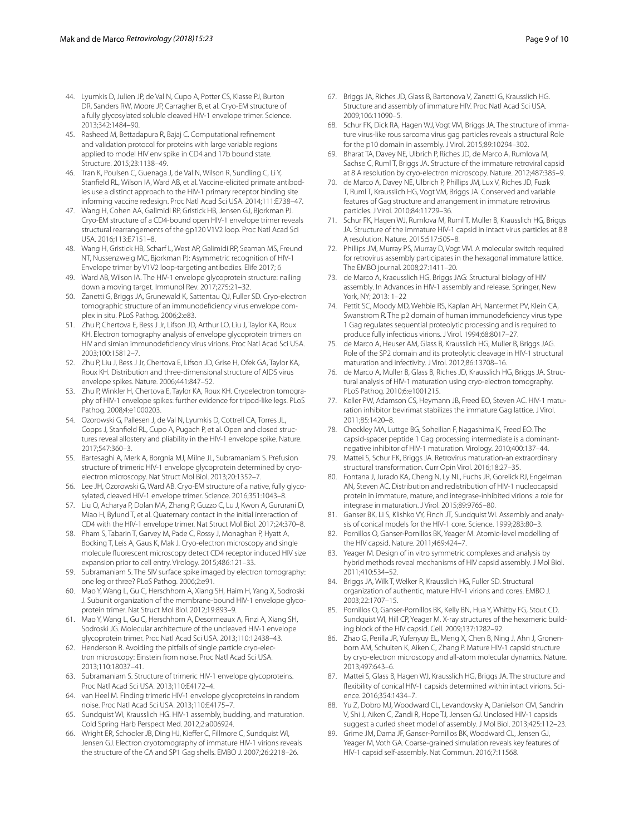- <span id="page-8-3"></span>44. Lyumkis D, Julien JP, de Val N, Cupo A, Potter CS, Klasse PJ, Burton DR, Sanders RW, Moore JP, Carragher B, et al. Cryo-EM structure of a fully glycosylated soluble cleaved HIV-1 envelope trimer. Science. 2013;342:1484–90.
- <span id="page-8-4"></span>45. Rasheed M, Bettadapura R, Bajaj C. Computational refnement and validation protocol for proteins with large variable regions applied to model HIV env spike in CD4 and 17b bound state. Structure. 2015;23:1138–49.
- Tran K, Poulsen C, Guenaga J, de Val N, Wilson R, Sundling C, Li Y, Stanfeld RL, Wilson IA, Ward AB, et al. Vaccine-elicited primate antibodies use a distinct approach to the HIV-1 primary receptor binding site informing vaccine redesign. Proc Natl Acad Sci USA. 2014;111:E738–47.
- <span id="page-8-5"></span>47. Wang H, Cohen AA, Galimidi RP, Gristick HB, Jensen GJ, Bjorkman PJ. Cryo-EM structure of a CD4-bound open HIV-1 envelope trimer reveals structural rearrangements of the gp120 V1V2 loop. Proc Natl Acad Sci USA. 2016;113:E7151–8.
- 48. Wang H, Gristick HB, Scharf L, West AP, Galimidi RP, Seaman MS, Freund NT, Nussenzweig MC, Bjorkman PJ: Asymmetric recognition of HIV-1 Envelope trimer by V1V2 loop-targeting antibodies. Elife 2017; 6
- <span id="page-8-0"></span>49. Ward AB, Wilson IA. The HIV-1 envelope glycoprotein structure: nailing down a moving target. Immunol Rev. 2017;275:21–32.
- 50. Zanetti G, Briggs JA, Grunewald K, Sattentau QJ, Fuller SD. Cryo-electron tomographic structure of an immunodefciency virus envelope complex in situ. PLoS Pathog. 2006;2:e83.
- <span id="page-8-1"></span>51. Zhu P, Chertova E, Bess J Jr, Lifson JD, Arthur LO, Liu J, Taylor KA, Roux KH. Electron tomography analysis of envelope glycoprotein trimers on HIV and simian immunodefciency virus virions. Proc Natl Acad Sci USA. 2003;100:15812–7.
- 52. Zhu P, Liu J, Bess J Jr, Chertova E, Lifson JD, Grise H, Ofek GA, Taylor KA, Roux KH. Distribution and three-dimensional structure of AIDS virus envelope spikes. Nature. 2006;441:847–52.
- 53. Zhu P, Winkler H, Chertova E, Taylor KA, Roux KH. Cryoelectron tomography of HIV-1 envelope spikes: further evidence for tripod-like legs. PLoS Pathog. 2008;4:e1000203.
- <span id="page-8-2"></span>54. Ozorowski G, Pallesen J, de Val N, Lyumkis D, Cottrell CA, Torres JL, Copps J, Stanfeld RL, Cupo A, Pugach P, et al. Open and closed structures reveal allostery and pliability in the HIV-1 envelope spike. Nature. 2017;547:360–3.
- <span id="page-8-6"></span>55. Bartesaghi A, Merk A, Borgnia MJ, Milne JL, Subramaniam S. Prefusion structure of trimeric HIV-1 envelope glycoprotein determined by cryoelectron microscopy. Nat Struct Mol Biol. 2013;20:1352–7.
- 56. Lee JH, Ozorowski G, Ward AB. Cryo-EM structure of a native, fully glycosylated, cleaved HIV-1 envelope trimer. Science. 2016;351:1043–8.
- <span id="page-8-7"></span>57. Liu Q, Acharya P, Dolan MA, Zhang P, Guzzo C, Lu J, Kwon A, Gururani D, Miao H, Bylund T, et al. Quaternary contact in the initial interaction of CD4 with the HIV-1 envelope trimer. Nat Struct Mol Biol. 2017;24:370–8.
- <span id="page-8-8"></span>58. Pham S, Tabarin T, Garvey M, Pade C, Rossy J, Monaghan P, Hyatt A, Bocking T, Leis A, Gaus K, Mak J. Cryo-electron microscopy and single molecule fuorescent microscopy detect CD4 receptor induced HIV size expansion prior to cell entry. Virology. 2015;486:121–33.
- <span id="page-8-9"></span>59. Subramaniam S. The SIV surface spike imaged by electron tomography: one leg or three? PLoS Pathog. 2006;2:e91.
- <span id="page-8-10"></span>60. Mao Y, Wang L, Gu C, Herschhorn A, Xiang SH, Haim H, Yang X, Sodroski J. Subunit organization of the membrane-bound HIV-1 envelope glycoprotein trimer. Nat Struct Mol Biol. 2012;19:893–9.
- <span id="page-8-11"></span>61. Mao Y, Wang L, Gu C, Herschhorn A, Desormeaux A, Finzi A, Xiang SH, Sodroski JG. Molecular architecture of the uncleaved HIV-1 envelope glycoprotein trimer. Proc Natl Acad Sci USA. 2013;110:12438–43.
- <span id="page-8-12"></span>62. Henderson R. Avoiding the pitfalls of single particle cryo-electron microscopy: Einstein from noise. Proc Natl Acad Sci USA. 2013;110:18037–41.
- 63. Subramaniam S. Structure of trimeric HIV-1 envelope glycoproteins. Proc Natl Acad Sci USA. 2013;110:E4172–4.
- <span id="page-8-13"></span>64. van Heel M. Finding trimeric HIV-1 envelope glycoproteins in random noise. Proc Natl Acad Sci USA. 2013;110:E4175–7.
- <span id="page-8-14"></span>65. Sundquist WI, Krausslich HG. HIV-1 assembly, budding, and maturation. Cold Spring Harb Perspect Med. 2012;2:a006924.
- <span id="page-8-15"></span>66. Wright ER, Schooler JB, Ding HJ, Kiefer C, Fillmore C, Sundquist WI, Jensen GJ. Electron cryotomography of immature HIV-1 virions reveals the structure of the CA and SP1 Gag shells. EMBO J. 2007;26:2218–26.
- <span id="page-8-16"></span>67. Briggs JA, Riches JD, Glass B, Bartonova V, Zanetti G, Krausslich HG. Structure and assembly of immature HIV. Proc Natl Acad Sci USA. 2009;106:11090–5.
- <span id="page-8-17"></span>68. Schur FK, Dick RA, Hagen WJ, Vogt VM, Briggs JA. The structure of immature virus-like rous sarcoma virus gag particles reveals a structural Role for the p10 domain in assembly. J Virol. 2015;89:10294–302.
- <span id="page-8-18"></span>69. Bharat TA, Davey NE, Ulbrich P, Riches JD, de Marco A, Rumlova M, Sachse C, Ruml T, Briggs JA. Structure of the immature retroviral capsid at 8 A resolution by cryo-electron microscopy. Nature. 2012;487:385–9.
- <span id="page-8-19"></span>70. de Marco A, Davey NE, Ulbrich P, Phillips JM, Lux V, Riches JD, Fuzik T, Ruml T, Krausslich HG, Vogt VM, Briggs JA. Conserved and variable features of Gag structure and arrangement in immature retrovirus particles. J Virol. 2010;84:11729–36.
- <span id="page-8-20"></span>71. Schur FK, Hagen WJ, Rumlova M, Ruml T, Muller B, Krausslich HG, Briggs JA. Structure of the immature HIV-1 capsid in intact virus particles at 8.8 A resolution. Nature. 2015;517:505–8.
- <span id="page-8-21"></span>72. Phillips JM, Murray PS, Murray D, Vogt VM. A molecular switch required for retrovirus assembly participates in the hexagonal immature lattice. The EMBO journal. 2008;27:1411–20.
- <span id="page-8-22"></span>73. de Marco A, Kraeusslich HG, Briggs JAG: Structural biology of HIV assembly. In Advances in HIV-1 assembly and release. Springer, New York, NY; 2013: 1–22
- <span id="page-8-23"></span>74. Pettit SC, Moody MD, Wehbie RS, Kaplan AH, Nantermet PV, Klein CA, Swanstrom R. The p2 domain of human immunodefciency virus type 1 Gag regulates sequential proteolytic processing and is required to produce fully infectious virions. J Virol. 1994;68:8017–27.
- <span id="page-8-24"></span>75. de Marco A, Heuser AM, Glass B, Krausslich HG, Muller B, Briggs JAG. Role of the SP2 domain and its proteolytic cleavage in HIV-1 structural maturation and infectivity. J Virol. 2012;86:13708–16.
- <span id="page-8-25"></span>76. de Marco A, Muller B, Glass B, Riches JD, Krausslich HG, Briggs JA. Structural analysis of HIV-1 maturation using cryo-electron tomography. PLoS Pathog. 2010;6:e1001215.
- <span id="page-8-28"></span>77. Keller PW, Adamson CS, Heymann JB, Freed EO, Steven AC. HIV-1 maturation inhibitor bevirimat stabilizes the immature Gag lattice. J Virol. 2011;85:1420–8.
- <span id="page-8-26"></span>78. Checkley MA, Luttge BG, Soheilian F, Nagashima K, Freed EO. The capsid-spacer peptide 1 Gag processing intermediate is a dominantnegative inhibitor of HIV-1 maturation. Virology. 2010;400:137–44.
- <span id="page-8-27"></span>79. Mattei S, Schur FK, Briggs JA. Retrovirus maturation-an extraordinary structural transformation. Curr Opin Virol. 2016;18:27–35.
- <span id="page-8-29"></span>80. Fontana J, Jurado KA, Cheng N, Ly NL, Fuchs JR, Gorelick RJ, Engelman AN, Steven AC. Distribution and redistribution of HIV-1 nucleocapsid protein in immature, mature, and integrase-inhibited virions: a role for integrase in maturation. J Virol. 2015;89:9765–80.
- <span id="page-8-30"></span>81. Ganser BK, Li S, Klishko VY, Finch JT, Sundquist WI. Assembly and analysis of conical models for the HIV-1 core. Science. 1999;283:80–3.
- <span id="page-8-32"></span>82. Pornillos O, Ganser-Pornillos BK, Yeager M. Atomic-level modelling of the HIV capsid. Nature. 2011;469:424–7.
- 83. Yeager M. Design of in vitro symmetric complexes and analysis by hybrid methods reveal mechanisms of HIV capsid assembly. J Mol Biol. 2011;410:534–52.
- <span id="page-8-31"></span>84. Briggs JA, Wilk T, Welker R, Krausslich HG, Fuller SD. Structural organization of authentic, mature HIV-1 virions and cores. EMBO J. 2003;22:1707–15.
- <span id="page-8-33"></span>85. Pornillos O, Ganser-Pornillos BK, Kelly BN, Hua Y, Whitby FG, Stout CD, Sundquist WI, Hill CP, Yeager M. X-ray structures of the hexameric building block of the HIV capsid. Cell. 2009;137:1282–92.
- <span id="page-8-34"></span>86. Zhao G, Perilla JR, Yufenyuy EL, Meng X, Chen B, Ning J, Ahn J, Gronenborn AM, Schulten K, Aiken C, Zhang P. Mature HIV-1 capsid structure by cryo-electron microscopy and all-atom molecular dynamics. Nature. 2013;497:643–6.
- <span id="page-8-35"></span>87. Mattei S, Glass B, Hagen WJ, Krausslich HG, Briggs JA. The structure and fexibility of conical HIV-1 capsids determined within intact virions. Science. 2016;354:1434–7.
- <span id="page-8-36"></span>88. Yu Z, Dobro MJ, Woodward CL, Levandovsky A, Danielson CM, Sandrin V, Shi J, Aiken C, Zandi R, Hope TJ, Jensen GJ. Unclosed HIV-1 capsids suggest a curled sheet model of assembly. J Mol Biol. 2013;425:112–23.
- <span id="page-8-37"></span>89. Grime JM, Dama JF, Ganser-Pornillos BK, Woodward CL, Jensen GJ, Yeager M, Voth GA. Coarse-grained simulation reveals key features of HIV-1 capsid self-assembly. Nat Commun. 2016;7:11568.